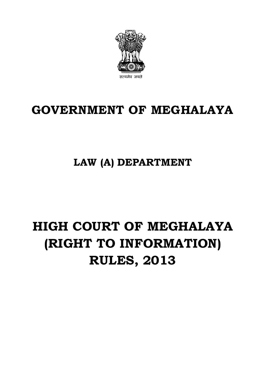

## **GOVERNMENT OF MEGHALAYA**

**LAW (A) DEPARTMENT**

# **HIGH COURT OF MEGHALAYA (RIGHT TO INFORMATION) RULES, 2013**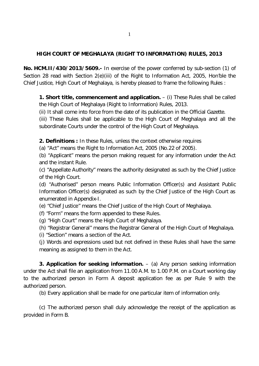#### **HIGH COURT OF MEGHALAYA (RIGHT TO INFORMATION) RULES, 2013**

**No. HCM.II/430/2013/5609.-** In exercise of the power conferred by sub-section (1) of Section 28 read with Section 2(e)(iii) of the Right to Information Act, 2005, Hon'ble the Chief Justice, High Court of Meghalaya, is hereby pleased to frame the following Rules :

**1. Short title, commencement and application.** – (i) These Rules shall be called the High Court of Meghalaya (Right to Information) Rules, 2013.

(ii) It shall come into force from the date of its publication in the Official Gazette.

(iii) These Rules shall be applicable to the High Court of Meghalaya and all the subordinate Courts under the control of the High Court of Meghalaya.

**2. Definitions :** In these Rules, unless the context otherwise requires

(a) "Act" means the Right to Information Act, 2005 (No.22 of 2005).

(b) "Applicant" means the person making request for any information under the Act and the instant Rule.

(c) "Appellate Authority" means the authority designated as such by the Chief Justice of the High Court.

(d) "Authorised" person means Public Information Officer(s) and Assistant Public Information Officer(s) designated as such by the Chief Justice of the High Court as enumerated in Appendix-I.

(e) "Chief Justice" means the Chief Justice of the High Court of Meghalaya.

(f) "Form" means the form appended to these Rules.

(g) "High Court" means the High Court of Meghalaya.

(h) "Registrar General" means the Registrar General of the High Court of Meghalaya.

(i) "Section" means a section of the Act.

(j) Words and expressions used but not defined in these Rules shall have the same meaning as assigned to them in the Act.

**3. Application for seeking information.** – (a) Any person seeking information under the Act shall file an application from 11.00 A.M. to 1.00 P.M. on a Court working day to the authorized person in Form A deposit application fee as per Rule 9 with the authorized person.

(b) Every application shall be made for one particular item of information only.

(c) The authorized person shall duly acknowledge the receipt of the application as provided in Form B.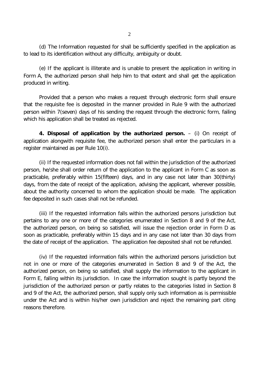(e) If the applicant is illiterate and is unable to present the application in writing in Form A, the authorized person shall help him to that extent and shall get the application produced in writing.

Provided that a person who makes a request through electronic form shall ensure that the requisite fee is deposited in the manner provided in Rule 9 with the authorized person within 7(seven) days of his sending the request through the electronic form, failing which his application shall be treated as rejected.

**4. Disposal of application by the authorized person.** – (i) On receipt of application alongwith requisite fee, the authorized person shall enter the particulars in a register maintained as per Rule 10(i).

(ii) If the requested information does not fall within the jurisdiction of the authorized person, he/she shall order return of the application to the applicant in Form C as soon as practicable, preferably within 15(fifteen) days, and in any case not later than 30(thirty) days, from the date of receipt of the application, advising the applicant, wherever possible, about the authority concerned to whom the application should be made. The application fee deposited in such cases shall not be refunded.

(iii) If the requested information falls within the authorized persons jurisdiction but pertains to any one or more of the categories enumerated in Section 8 and 9 of the Act, the authorized person, on being so satisfied, will issue the rejection order in Form D as soon as practicable, preferably within 15 days and in any case not later than 30 days from the date of receipt of the application. The application fee deposited shall not be refunded.

(iv) If the requested information falls within the authorized persons jurisdiction but not in one or more of the categories enumerated in Section 8 and 9 of the Act, the authorized person, on being so satisfied, shall supply the information to the applicant in Form E, falling within its jurisdiction. In case the information sought is partly beyond the jurisdiction of the authorized person or partly relates to the categories listed in Section 8 and 9 of the Act, the authorized person, shall supply only such information as is permissible under the Act and is within his/her own jurisdiction and reject the remaining part citing reasons therefore.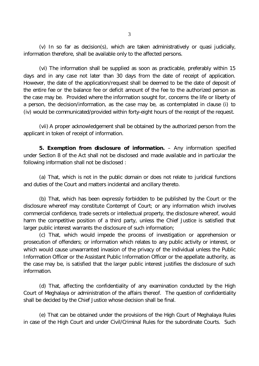(v) In so far as decision(s), which are taken administratively or quasi judicially, information therefore, shall be available only to the affected persons.

(vi) The information shall be supplied as soon as practicable, preferably within 15 days and in any case not later than 30 days from the date of receipt of application. However, the date of the application/request shall be deemed to be the date of deposit of the entire fee or the balance fee or deficit amount of the fee to the authorized person as the case may be. Provided where the information sought for, concerns the life or liberty of a person, the decision/information, as the case may be, as contemplated in clause (i) to (iv) would be communicated/provided within forty-eight hours of the receipt of the request.

(vii) A proper acknowledgement shall be obtained by the authorized person from the applicant in token of receipt of information.

**5. Exemption from disclosure of information.** – Any information specified under Section 8 of the Act shall not be disclosed and made available and in particular the following information shall not be disclosed :

(a) That, which is not in the public domain or does not relate to juridical functions and duties of the Court and matters incidental and ancillary thereto.

(b) That, which has been expressly forbidden to be published by the Court or the disclosure whereof may constitute Contempt of Court; or any information which involves commercial confidence, trade secrets or intellectual property, the disclosure whereof, would harm the competitive position of a third party, unless the Chief Justice is satisfied that larger public interest warrants the disclosure of such information;

(c) That, which would impede the process of investigation or apprehension or prosecution of offenders; or information which relates to any public activity or interest, or which would cause unwarranted invasion of the privacy of the individual unless the Public Information Officer or the Assistant Public Information Officer or the appellate authority, as the case may be, is satisfied that the larger public interest justifies the disclosure of such information.

(d) That, affecting the confidentiality of any examination conducted by the High Court of Meghalaya or administration of the affairs thereof. The question of confidentiality shall be decided by the Chief Justice whose decision shall be final.

(e) That can be obtained under the provisions of the High Court of Meghalaya Rules in case of the High Court and under Civil/Criminal Rules for the subordinate Courts. Such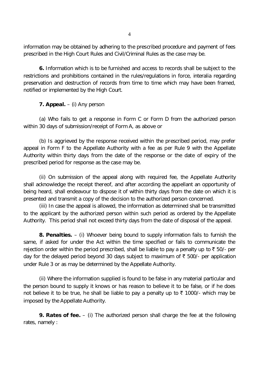information may be obtained by adhering to the prescribed procedure and payment of fees prescribed in the High Court Rules and Civil/Criminal Rules as the case may be.

**6.** Information which is to be furnished and access to records shall be subject to the restrictions and prohibitions contained in the rules/regulations in force, interalia regarding preservation and destruction of records from time to time which may have been framed, notified or implemented by the High Court.

**7. Appeal.** – (i) Any person

(a) Who fails to get a response in Form C or Form D from the authorized person within 30 days of submission/receipt of Form A, as above or

(b) Is aggrieved by the response received within the prescribed period, may prefer appeal in Form F to the Appellate Authority with a fee as per Rule 9 with the Appellate Authority within thirty days from the date of the response or the date of expiry of the prescribed period for response as the case may be.

(ii) On submission of the appeal along with required fee, the Appellate Authority shall acknowledge the receipt thereof, and after according the appellant an opportunity of being heard, shall endeavour to dispose it of within thirty days from the date on which it is presented and transmit a copy of the decision to the authorized person concerned.

(iii) In case the appeal is allowed, the information as determined shall be transmitted to the applicant by the authorized person within such period as ordered by the Appellate Authority. This period shall not exceed thirty days from the date of disposal of the appeal.

**8. Penalties.** – (i) Whoever being bound to supply information fails to furnish the same, if asked for under the Act within the time specified or fails to communicate the rejection order within the period prescribed, shall be liable to pay a penalty up to  $\bar{\tau}$  50/- per day for the delayed period beyond 30 days subject to maximum of  $\bar{\tau}$  500/- per application under Rule 3 or as may be determined by the Appellate Authority.

(ii) Where the information supplied is found to be false in any material particular and the person bound to supply it knows or has reason to believe it to be false, or if he does not believe it to be true, he shall be liable to pay a penalty up to  $\bar{\tau}$  1000/- which may be imposed by the Appellate Authority.

**9. Rates of fee.** – (i) The authorized person shall charge the fee at the following rates, namely :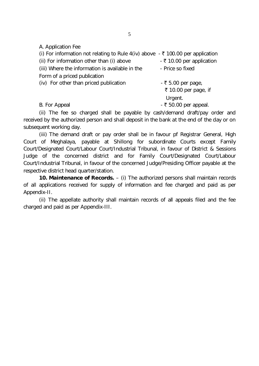A. Application Fee

| (i) For information not relating to Rule 4(iv) above $\overline{\cdot}$ ₹ 100.00 per application |                           |
|--------------------------------------------------------------------------------------------------|---------------------------|
| (ii) For information other than (i) above                                                        | - ₹ 10.00 per application |
| (iii) Where the information is available in the                                                  | - Price so fixed          |
| Form of a priced publication                                                                     |                           |
| (iv) For other than priced publication                                                           | - ₹ 5.00 per page,        |
|                                                                                                  | ₹ 10.00 per page, if      |
|                                                                                                  | Urgent.                   |
| B. For Appeal                                                                                    | $-$ ₹ 50.00 per appeal.   |

(ii) The fee so charged shall be payable by cash/demand draft/pay order and received by the authorized person and shall deposit in the bank at the end of the day or on subsequent working day.

(iii) The demand draft or pay order shall be in favour pf Registrar General, High Court of Meghalaya, payable at Shillong for subordinate Courts except Family Court/Designated Court/Labour Court/Industrial Tribunal, in favour of District & Sessions Judge of the concerned district and for Family Court/Designated Court/Labour Court/Industrial Tribunal, in favour of the concerned Judge/Presiding Officer payable at the respective district head quarter/station.

**10. Maintenance of Records.** – (i) The authorized persons shall maintain records of all applications received for supply of information and fee charged and paid as per Appendix-II.

(ii) The appellate authority shall maintain records of all appeals filed and the fee charged and paid as per Appendix-III.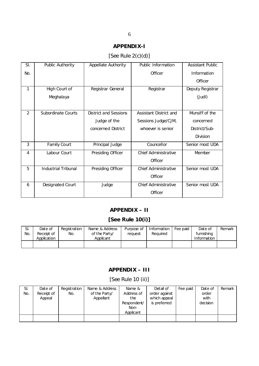## **APPENDIX-I**

## [See Rule 2(c)(d)]

| SI. | Public Authority    | Appellate Authority   | Public Information          | <b>Assistant Public</b> |
|-----|---------------------|-----------------------|-----------------------------|-------------------------|
| No. |                     |                       | Officer                     | Information             |
|     |                     |                       |                             | Officer                 |
| 1   | High Court of       | Registrar General     | Registrar                   | Deputy Registrar        |
|     | Meghalaya           |                       |                             | $($ Judl $)$            |
|     |                     |                       |                             |                         |
| 2   | Subordinate Courts  | District and Sessions | Assistant District and      | Munsiff of the          |
|     |                     | Judge of the          | Sessions Judge/CJM,         | concerned               |
|     |                     | concerned District    | whoever is senior           | District/Sub-           |
|     |                     |                       |                             | Division                |
| 3   | <b>Family Court</b> | Principal Judge       | Councellor                  | Senior most UDA         |
| 4   | Labour Court        | Presiding Officer     | Chief Administrative        | Member                  |
|     |                     |                       | Officer                     |                         |
| 5   | Industrial Tribunal | Presiding Officer     | Chief Administrative        | Senior most UDA         |
|     |                     |                       | Officer                     |                         |
| 6   | Designated Court    | Judge                 | <b>Chief Administrative</b> | Senior most UDA         |
|     |                     |                       | Officer                     |                         |

## **APPENDIX – II**

## **[See Rule 10(i)]**

| SI.<br>No. | Date of<br>Receipt of<br>Application | Registration<br>No. | Name & Address<br>of the Party/<br>Applicant | Purpose of<br>request | Information<br>Required | Fee paid | Date of<br>furnishing<br>Information | Remark |
|------------|--------------------------------------|---------------------|----------------------------------------------|-----------------------|-------------------------|----------|--------------------------------------|--------|
|            |                                      |                     |                                              |                       |                         |          |                                      |        |

## **APPENDIX – III**

[See Rule 10 (ii)]

| SI. | Date of    | Registration | Name & Address | Name &      | Detail of     | Fee paid | Date of  | Remark |
|-----|------------|--------------|----------------|-------------|---------------|----------|----------|--------|
| No. | Receipt of | No.          | of the Party/  | Address of  | order against |          | order    |        |
|     | Appeal     |              | Appellant      | the         | which appeal  |          | with     |        |
|     |            |              |                | Respondent/ | is preferred  |          | decision |        |
|     |            |              |                | Non-        |               |          |          |        |
|     |            |              |                | Applicant   |               |          |          |        |
|     |            |              |                |             |               |          |          |        |
|     |            |              |                |             |               |          |          |        |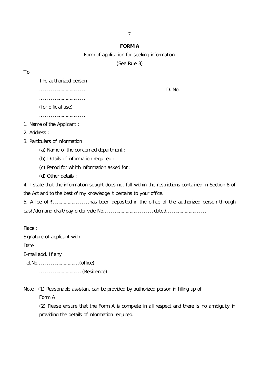#### **FORM A**

Form of application for seeking information

(See Rule 3)

To

The authorized person

…………………………….. ID. No.

……………………………………

(for official use)

……………………………..

- 1. Name of the Applicant :
- 2. Address :
- 3. Particulars of information
	- (a) Name of the concerned department :
	- (b) Details of information required :
	- (c) Period for which information asked for :
	- (d) Other details :

4. I state that the information sought does not fall within the restrictions contained in Section 8 of the Act and to the best of my knowledge it pertains to your office.

5. A fee of ₹…………………………has been deposited in the office of the authorized person through cash/demand draft/pay order vide No…………………………………dated………………………….

Place : Signature of applicant with Date: E-mail add. If any Tel.No…………………………..(office) ……………………………(Residence)

Note : (1) Reasonable assistant can be provided by authorized person in filling up of

Form A

(2) Please ensure that the Form A is complete in all respect and there is no ambiguity in providing the details of information required.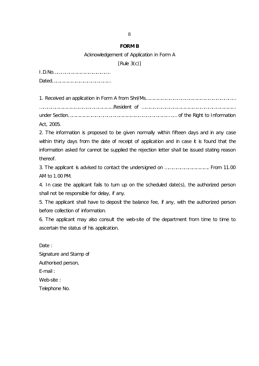#### **FORM B**

Acknowledgement of Application in Form A

[Rule 3(c)]

| Act, 2005. |  |
|------------|--|

2. The information is proposed to be given normally within fifteen days and in any case within thirty days from the date of receipt of application and in case it is found that the information asked for cannot be supplied the rejection letter shall be issued stating reason thereof.

3. The applicant is advised to contact the undersigned on ……………………………. From 11.00 AM to 1.00 PM.

4. In case the applicant fails to turn up on the scheduled date(s), the authorized person shall not be responsible for delay, if any.

5. The applicant shall have to deposit the balance fee, if any, with the authorized person before collection of information.

6. The applicant may also consult the web-site of the department from time to time to ascertain the status of his application.

Date: Signature and Stamp of Authorised person, E-mail : Web-site : Telephone No.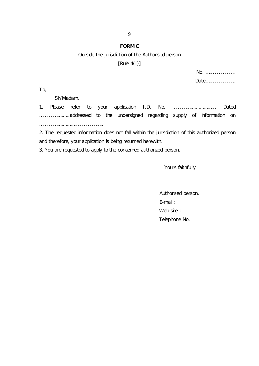#### **FORM C**

#### Outside the jurisdiction of the Authorised person

[Rule 4(ii)]

| No.  |  |
|------|--|
| Date |  |

To,

Sir/Madam,

1. Please refer to your application I.D. No. ……………………………. Dated …………………..addressed to the undersigned regarding supply of information on ………………………………………….

2. The requested information does not fall within the jurisdiction of this authorized person and therefore, your application is being returned herewith.

3. You are requested to apply to the concerned authorized person.

Yours faithfully

 Authorised person, E-mail : Web-site : Telephone No.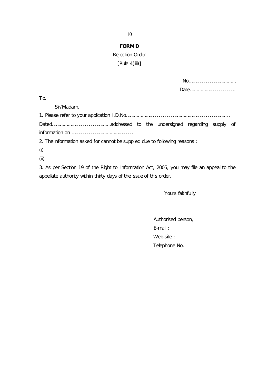## **FORM D**

## Rejection Order

## [Rule 4(iii)]

| To,                                                                                       |
|-------------------------------------------------------------------------------------------|
| Sir/Madam,                                                                                |
|                                                                                           |
|                                                                                           |
|                                                                                           |
| 2. The information asked for cannot be supplied due to following reasons :                |
| $\mathbf{r}$                                                                              |
| (ii)                                                                                      |
| 3. As per Section 19 of the Right to Information Act, 2005, you may file an appeal to the |

appellate authority within thirty days of the issue of this order.

Yours faithfully

 Authorised person, E-mail : Web-site : Telephone No.

10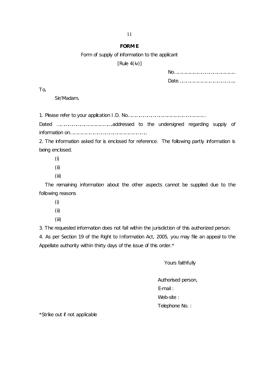#### **FORM E**

#### Form of supply of information to the applicant

 $[Rule 4(iv)]$ 

To,

Sir/Madam,

1. Please refer to your application I.D. No……………………………………………………

Dated …………………………………….addressed to the undersigned regarding supply of information on…………………………………………………..

2. The information asked for is enclosed for reference. The following partly information is being enclosed.

- (i)
- (ii)
- (iii)

 The remaining information about the other aspects cannot be supplied due to the following reasons

- (i)
- (ii)
- (iii)

3. The requested information does not fall within the jurisdiction of this authorized person.

4. As per Section 19 of the Right to Information Act, 2005, you may file an appeal to the Appellate authority within thirty days of the issue of this order.\*

Yours faithfully

 Authorised person, E-mail : Web-site : Telephone No. :

\*Strike out if not applicable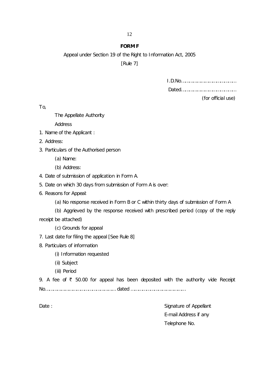#### **FORM F**

Appeal under Section 19 of the Right to Information Act, 2005

[Rule 7]

I.D.No……………………………………

Dated……………………………………

(for official use)

To,

The Appellate Authority

Address

- 1. Name of the Applicant :
- 2. Address:
- 3. Particulars of the Authorised person
	- (a) Name:
	- (b) Address:

4. Date of submission of application in Form A.

5. Date on which 30 days from submission of Form A is over:

- 6. Reasons for Appeal:
	- (a) No response received in Form B or C within thirty days of submission of Form A

(b) Aggrieved by the response received with prescribed period (copy of the reply receipt be attached)

(c) Grounds for appeal

- 7. Last date for filing the appeal [See Rule 8]
- 8. Particulars of information
	- (i) Information requested
	- (ii) Subject
	- (iii) Period

9. A fee of  $\bar{\tau}$  50.00 for appeal has been deposited with the authority vide Receipt No……………………………………………… dated ……………………………………

Date : Signature of Appellant E-mail Address if any Telephone No.